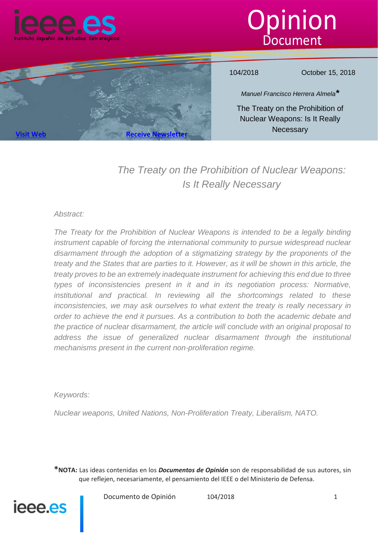





104/2018 October 15, 2018

*Manuel Francisco Herrera Almela\**

The Treaty on the Prohibition of Nuclear Weapons: Is It Really **Necessary** 

# *The Treaty on the Prohibition of Nuclear Weapons: Is It Really Necessary*

#### *Abstract:*

*The Treaty for the Prohibition of Nuclear Weapons is intended to be a legally binding instrument capable of forcing the international community to pursue widespread nuclear disarmament through the adoption of a stigmatizing strategy by the proponents of the treaty and the States that are parties to it. However, as it will be shown in this article, the treaty proves to be an extremely inadequate instrument for achieving this end due to three types of inconsistencies present in it and in its negotiation process: Normative, institutional and practical. In reviewing all the shortcomings related to these inconsistencies, we may ask ourselves to what extent the treaty is really necessary in order to achieve the end it pursues. As a contribution to both the academic debate and the practice of nuclear disarmament, the article will conclude with an original proposal to* address the *issue of generalized nuclear disarmament through the institutional mechanisms present in the current non-proliferation regime.*

*Keywords:*

*Nuclear weapons, United Nations, Non-Proliferation Treaty, Liberalism, NATO.*

**\*NOTA:** Las ideas contenidas en los *Documentos de Opinión* son de responsabilidad de sus autores, sin que reflejen, necesariamente, el pensamiento del IEEE o del Ministerio de Defensa.



Documento de Opinión 104/2018 101/2018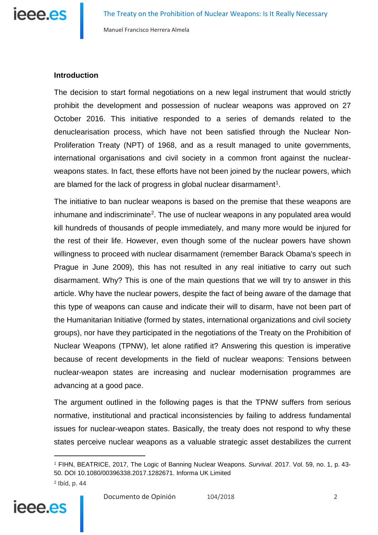

### **Introduction**

The decision to start formal negotiations on a new legal instrument that would strictly prohibit the development and possession of nuclear weapons was approved on 27 October 2016. This initiative responded to a series of demands related to the denuclearisation process, which have not been satisfied through the Nuclear Non-Proliferation Treaty (NPT) of 1968, and as a result managed to unite governments, international organisations and civil society in a common front against the nuclearweapons states. In fact, these efforts have not been joined by the nuclear powers, which are blamed for the lack of progress in global nuclear disarmament<sup>1</sup>.

The initiative to ban nuclear weapons is based on the premise that these weapons are inhumane and indiscriminate<sup>2</sup>. The use of nuclear weapons in any populated area would kill hundreds of thousands of people immediately, and many more would be injured for the rest of their life. However, even though some of the nuclear powers have shown willingness to proceed with nuclear disarmament (remember Barack Obama's speech in Prague in June 2009), this has not resulted in any real initiative to carry out such disarmament. Why? This is one of the main questions that we will try to answer in this article. Why have the nuclear powers, despite the fact of being aware of the damage that this type of weapons can cause and indicate their will to disarm, have not been part of the Humanitarian Initiative (formed by states, international organizations and civil society groups), nor have they participated in the negotiations of the Treaty on the Prohibition of Nuclear Weapons (TPNW), let alone ratified it? Answering this question is imperative because of recent developments in the field of nuclear weapons: Tensions between nuclear-weapon states are increasing and nuclear modernisation programmes are advancing at a good pace.

The argument outlined in the following pages is that the TPNW suffers from serious normative, institutional and practical inconsistencies by failing to address fundamental issues for nuclear-weapon states. Basically, the treaty does not respond to why these states perceive nuclear weapons as a valuable strategic asset destabilizes the current

<span id="page-1-1"></span><span id="page-1-0"></span><sup>1</sup> FIHN, BEATRICE, 2017, The Logic of Banning Nuclear Weapons. *Survival*. 2017. Vol. 59, no. 1, p. 43- 50. DOI 10.1080/00396338.2017.1282671. Informa UK Limited <sup>2</sup> Ibíd, p. 44

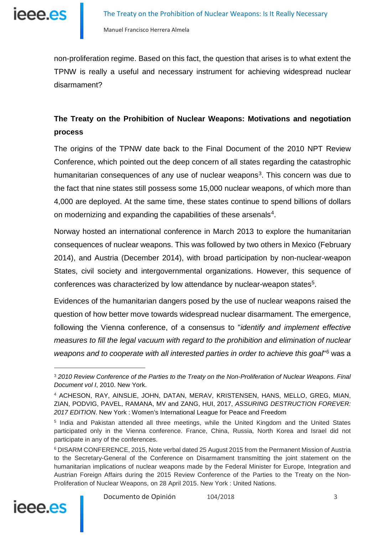

non-proliferation regime. Based on this fact, the question that arises is to what extent the TPNW is really a useful and necessary instrument for achieving widespread nuclear disarmament?

## **The Treaty on the Prohibition of Nuclear Weapons: Motivations and negotiation process**

The origins of the TPNW date back to the Final Document of the 2010 NPT Review Conference, which pointed out the deep concern of all states regarding the catastrophic humanitarian consequences of any use of nuclear weapons<sup>[3](#page-2-0)</sup>. This concern was due to the fact that nine states still possess some 15,000 nuclear weapons, of which more than 4,000 are deployed. At the same time, these states continue to spend billions of dollars on modernizing and expanding the capabilities of these arsenals<sup>4</sup>.

Norway hosted an international conference in March 2013 to explore the humanitarian consequences of nuclear weapons. This was followed by two others in Mexico (February 2014), and Austria (December 2014), with broad participation by non-nuclear-weapon States, civil society and intergovernmental organizations. However, this sequence of conferences was characterized by low attendance by nuclear-weapon states<sup>5</sup>.

Evidences of the humanitarian dangers posed by the use of nuclear weapons raised the question of how better move towards widespread nuclear disarmament. The emergence, following the Vienna conference, of a consensus to "*identify and implement effective measures to fill the legal vacuum with regard to the prohibition and elimination of nuclear weapons and to cooperate with all interested parties in order to achieve this goal*"[6](#page-2-3) was a

<span id="page-2-3"></span><span id="page-2-2"></span><sup>6</sup> DISARM CONFERENCE, 2015, Note verbal dated 25 August 2015 from the Permanent Mission of Austria to the Secretary-General of the Conference on Disarmament transmitting the joint statement on the humanitarian implications of nuclear weapons made by the Federal Minister for Europe, Integration and Austrian Foreign Affairs during the 2015 Review Conference of the Parties to the Treaty on the Non-Proliferation of Nuclear Weapons, on 28 April 2015. New York : United Nations.



<span id="page-2-0"></span><sup>3</sup> *2010 Review Conference of the Parties to the Treaty on the Non-Proliferation of Nuclear Weapons. Final Document vol I*, 2010. New York.

<span id="page-2-1"></span><sup>4</sup> ACHESON, RAY, AINSLIE, JOHN, DATAN, MERAV, KRISTENSEN, HANS, MELLO, GREG, MIAN, ZIAN, PODVIG, PAVEL, RAMANA, MV and ZANG, HUI, 2017, *ASSURING DESTRUCTION FOREVER: 2017 EDITION*. New York : Women's International League for Peace and Freedom

<sup>5</sup> India and Pakistan attended all three meetings, while the United Kingdom and the United States participated only in the Vienna conference. France, China, Russia, North Korea and Israel did not participate in any of the conferences.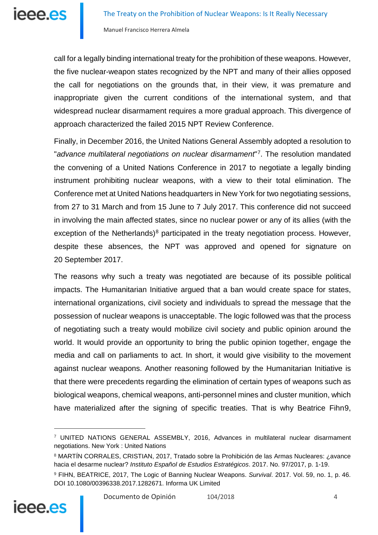call for a legally binding international treaty for the prohibition of these weapons. However, the five nuclear-weapon states recognized by the NPT and many of their allies opposed the call for negotiations on the grounds that, in their view, it was premature and inappropriate given the current conditions of the international system, and that widespread nuclear disarmament requires a more gradual approach. This divergence of approach characterized the failed 2015 NPT Review Conference.

Finally, in December 2016, the United Nations General Assembly adopted a resolution to "*advance multilateral negotiations on nuclear disarmament*"[7](#page-3-0). The resolution mandated the convening of a United Nations Conference in 2017 to negotiate a legally binding instrument prohibiting nuclear weapons, with a view to their total elimination. The Conference met at United Nations headquarters in New York for two negotiating sessions, from 27 to 31 March and from 15 June to 7 July 2017. This conference did not succeed in involving the main affected states, since no nuclear power or any of its allies (with the exception of the Netherlands) $8$  participated in the treaty negotiation process. However, despite these absences, the NPT was approved and opened for signature on 20 September 2017.

The reasons why such a treaty was negotiated are because of its possible political impacts. The Humanitarian Initiative argued that a ban would create space for states, international organizations, civil society and individuals to spread the message that the possession of nuclear weapons is unacceptable. The logic followed was that the process of negotiating such a treaty would mobilize civil society and public opinion around the world. It would provide an opportunity to bring the public opinion together, engage the media and call on parliaments to act. In short, it would give visibility to the movement against nuclear weapons. Another reasoning followed by the Humanitarian Initiative is that there were precedents regarding the elimination of certain types of weapons such as biological weapons, chemical weapons, anti-personnel mines and cluster munition, which have materialized after the signing of specific treaties. That is why Beatrice Fihn[9,](#page-3-2)

<span id="page-3-2"></span><span id="page-3-1"></span><span id="page-3-0"></span><sup>9</sup> FIHN, BEATRICE, 2017, The Logic of Banning Nuclear Weapons. *Survival*. 2017. Vol. 59, no. 1, p. 46. DOI 10.1080/00396338.2017.1282671. Informa UK Limited



<sup>7</sup> UNITED NATIONS GENERAL ASSEMBLY, 2016, Advances in multilateral nuclear disarmament negotiations. New York : United Nations

<sup>8</sup> MARTÍN CORRALES, CRISTIAN, 2017, Tratado sobre la Prohibición de las Armas Nucleares: ¿avance hacia el desarme nuclear? *Instituto Español de Estudios Estratégicos*. 2017. No. 97/2017, p. 1-19.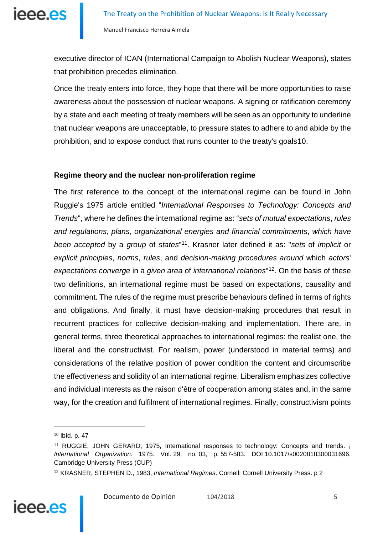executive director of ICAN (International Campaign to Abolish Nuclear Weapons), states that prohibition precedes elimination.

Once the treaty enters into force, they hope that there will be more opportunities to raise awareness about the possession of nuclear weapons. A signing or ratification ceremony by a state and each meeting of treaty members will be seen as an opportunity to underline that nuclear weapons are unacceptable, to pressure states to adhere to and abide by the prohibition, and to expose conduct that runs counter to the treaty's goals[10](#page-4-0).

#### **Regime theory and the nuclear non-proliferation regime**

The first reference to the concept of the international regime can be found in John Ruggie's 1975 article entitled "*International Responses to Technology: Concepts and Trends*", where he defines the international regime as: "*sets of mutual expectations*, *rules and regulations*, *plans*, *organizational energies and financial commitments*, *which have been accepted* by a *group* of *states*"[11](#page-4-1). Krasner later defined it as: "*sets* of *implicit* or *explicit principles*, *norms*, *rules*, and *decision*-*making procedures around* which *actors*' *expectations converge* in a *given area* of *international relations*"[12](#page-4-2). On the basis of these two definitions, an international regime must be based on expectations, causality and commitment. The rules of the regime must prescribe behaviours defined in terms of rights and obligations. And finally, it must have decision-making procedures that result in recurrent practices for collective decision-making and implementation. There are, in general terms, three theoretical approaches to international regimes: the realist one, the liberal and the constructivist. For realism, power (understood in material terms) and considerations of the relative position of power condition the content and circumscribe the effectiveness and solidity of an international regime. Liberalism emphasizes collective and individual interests as the raison d'être of cooperation among states and, in the same way, for the creation and fulfilment of international regimes. Finally, constructivism points

<span id="page-4-2"></span><span id="page-4-1"></span><span id="page-4-0"></span><sup>12</sup> KRASNER, STEPHEN D., 1983, *International Regimes*. Cornell: Cornell University Press. p 2



<sup>10</sup> Ibíd. p. 47

<sup>&</sup>lt;sup>11</sup> RUGGIE, JOHN GERARD, 1975, International responses to technology: Concepts and trends. **i** *International Organization*. 1975. Vol. 29, no. 03, p. 557-583. DOI 10.1017/s0020818300031696. Cambridge University Press (CUP)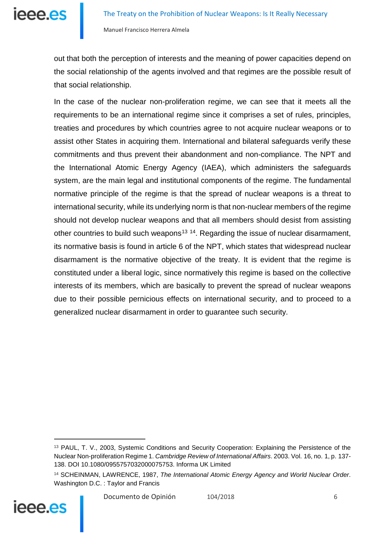

out that both the perception of interests and the meaning of power capacities depend on the social relationship of the agents involved and that regimes are the possible result of that social relationship.

In the case of the nuclear non-proliferation regime, we can see that it meets all the requirements to be an international regime since it comprises a set of rules, principles, treaties and procedures by which countries agree to not acquire nuclear weapons or to assist other States in acquiring them. International and bilateral safeguards verify these commitments and thus prevent their abandonment and non-compliance. The NPT and the International Atomic Energy Agency (IAEA), which administers the safeguards system, are the main legal and institutional components of the regime. The fundamental normative principle of the regime is that the spread of nuclear weapons is a threat to international security, while its underlying norm is that non-nuclear members of the regime should not develop nuclear weapons and that all members should desist from assisting other countries to build such weapons<sup>[13](#page-5-0) [14](#page-5-1)</sup>. Regarding the issue of nuclear disarmament, its normative basis is found in article 6 of the NPT, which states that widespread nuclear disarmament is the normative objective of the treaty. It is evident that the regime is constituted under a liberal logic, since normatively this regime is based on the collective interests of its members, which are basically to prevent the spread of nuclear weapons due to their possible pernicious effects on international security, and to proceed to a generalized nuclear disarmament in order to guarantee such security.

<span id="page-5-1"></span>

<span id="page-5-0"></span><sup>13</sup> PAUL, T. V., 2003, Systemic Conditions and Security Cooperation: Explaining the Persistence of the Nuclear Non-proliferation Regime 1. *Cambridge Review of International Affairs*. 2003. Vol. 16, no. 1, p. 137- 138. DOI 10.1080/0955757032000075753. Informa UK Limited

<sup>14</sup> SCHEINMAN, LAWRENCE, 1987, *The International Atomic Energy Agency and World Nuclear Order*. Washington D.C. : Taylor and Francis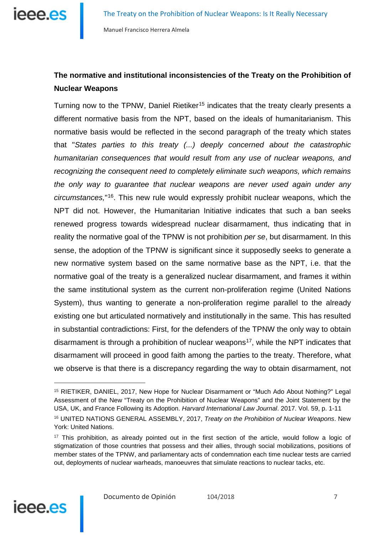

## **The normative and institutional inconsistencies of the Treaty on the Prohibition of Nuclear Weapons**

Turning now to the TPNW, Daniel Rietiker<sup>[15](#page-6-0)</sup> indicates that the treaty clearly presents a different normative basis from the NPT, based on the ideals of humanitarianism. This normative basis would be reflected in the second paragraph of the treaty which states that "*States parties to this treaty (...) deeply concerned about the catastrophic humanitarian consequences that would result from any use of nuclear weapons, and recognizing the consequent need to completely eliminate such weapons, which remains the only way to guarantee that nuclear weapons are never used again under any circumstances,*"[16.](#page-6-1) This new rule would expressly prohibit nuclear weapons, which the NPT did not. However, the Humanitarian Initiative indicates that such a ban seeks renewed progress towards widespread nuclear disarmament, thus indicating that in reality the normative goal of the TPNW is not prohibition *per se*, but disarmament. In this sense, the adoption of the TPNW is significant since it supposedly seeks to generate a new normative system based on the same normative base as the NPT, i.e. that the normative goal of the treaty is a generalized nuclear disarmament, and frames it within the same institutional system as the current non-proliferation regime (United Nations System), thus wanting to generate a non-proliferation regime parallel to the already existing one but articulated normatively and institutionally in the same. This has resulted in substantial contradictions: First, for the defenders of the TPNW the only way to obtain disarmament is through a prohibition of nuclear weapons<sup>17</sup>, while the NPT indicates that disarmament will proceed in good faith among the parties to the treaty. Therefore, what we observe is that there is a discrepancy regarding the way to obtain disarmament, not



<span id="page-6-0"></span><sup>15</sup> RIETIKER, DANIEL, 2017, New Hope for Nuclear Disarmament or "Much Ado About Nothing?" Legal Assessment of the New "Treaty on the Prohibition of Nuclear Weapons" and the Joint Statement by the USA, UK, and France Following its Adoption. *Harvard International Law Journal*. 2017. Vol. 59, p. 1-11

<span id="page-6-1"></span><sup>16</sup> UNITED NATIONS GENERAL ASSEMBLY, 2017, *Treaty on the Prohibition of Nuclear Weapons*. New York: United Nations.

<span id="page-6-2"></span><sup>&</sup>lt;sup>17</sup> This prohibition, as already pointed out in the first section of the article, would follow a logic of stigmatization of those countries that possess and their allies, through social mobilizations, positions of member states of the TPNW, and parliamentary acts of condemnation each time nuclear tests are carried out, deployments of nuclear warheads, manoeuvres that simulate reactions to nuclear tacks, etc.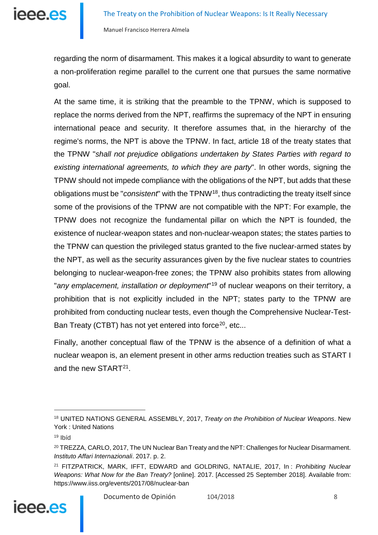regarding the norm of disarmament. This makes it a logical absurdity to want to generate a non-proliferation regime parallel to the current one that pursues the same normative goal.

At the same time, it is striking that the preamble to the TPNW, which is supposed to replace the norms derived from the NPT, reaffirms the supremacy of the NPT in ensuring international peace and security. It therefore assumes that, in the hierarchy of the regime's norms, the NPT is above the TPNW. In fact, article 18 of the treaty states that the TPNW "*shall not prejudice obligations undertaken by States Parties with regard to existing international agreements, to which they are party*". In other words, signing the TPNW should not impede compliance with the obligations of the NPT, but adds that these obligations must be "*consistent*" with the TPNW[18](#page-7-0), thus contradicting the treaty itself since some of the provisions of the TPNW are not compatible with the NPT: For example, the TPNW does not recognize the fundamental pillar on which the NPT is founded, the existence of nuclear-weapon states and non-nuclear-weapon states; the states parties to the TPNW can question the privileged status granted to the five nuclear-armed states by the NPT, as well as the security assurances given by the five nuclear states to countries belonging to nuclear-weapon-free zones; the TPNW also prohibits states from allowing "*any emplacement, installation or deployment*"[19](#page-7-1) of nuclear weapons on their territory, a prohibition that is not explicitly included in the NPT; states party to the TPNW are prohibited from conducting nuclear tests, even though the Comprehensive Nuclear-Test-Ban Treaty (CTBT) has not yet entered into force<sup>20</sup>, etc...

Finally, another conceptual flaw of the TPNW is the absence of a definition of what a nuclear weapon is, an element present in other arms reduction treaties such as START I and the new START[21.](#page-7-3)

<span id="page-7-3"></span><sup>21</sup> FITZPATRICK, MARK, IFFT, EDWARD and GOLDRING, NATALIE, 2017, In : *Prohibiting Nuclear Weapons: What Now for the Ban Treaty?* [online]. 2017. [Accessed 25 September 2018]. Available from: https://www.iiss.org/events/2017/08/nuclear-ban



<span id="page-7-0"></span><sup>18</sup> UNITED NATIONS GENERAL ASSEMBLY, 2017, *Treaty on the Prohibition of Nuclear Weapons*. New York : United Nations

<span id="page-7-1"></span><sup>19</sup> Ibíd

<span id="page-7-2"></span><sup>&</sup>lt;sup>20</sup> TREZZA, CARLO, 2017, The UN Nuclear Ban Treaty and the NPT: Challenges for Nuclear Disarmament. *Instituto Affari Internazionali*. 2017. p. 2.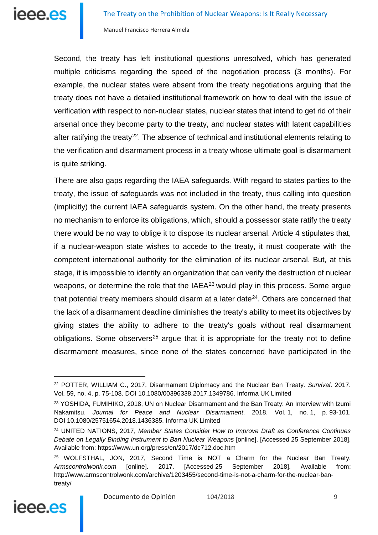

Second, the treaty has left institutional questions unresolved, which has generated multiple criticisms regarding the speed of the negotiation process (3 months). For example, the nuclear states were absent from the treaty negotiations arguing that the treaty does not have a detailed institutional framework on how to deal with the issue of verification with respect to non-nuclear states, nuclear states that intend to get rid of their arsenal once they become party to the treaty, and nuclear states with latent capabilities after ratifying the treaty<sup>[22](#page-8-0)</sup>. The absence of technical and institutional elements relating to the verification and disarmament process in a treaty whose ultimate goal is disarmament is quite striking.

There are also gaps regarding the IAEA safeguards. With regard to states parties to the treaty, the issue of safeguards was not included in the treaty, thus calling into question (implicitly) the current IAEA safeguards system. On the other hand, the treaty presents no mechanism to enforce its obligations, which, should a possessor state ratify the treaty there would be no way to oblige it to dispose its nuclear arsenal. Article 4 stipulates that, if a nuclear-weapon state wishes to accede to the treaty, it must cooperate with the competent international authority for the elimination of its nuclear arsenal. But, at this stage, it is impossible to identify an organization that can verify the destruction of nuclear weapons, or determine the role that the IAEA<sup>[23](#page-8-1)</sup> would play in this process. Some argue that potential treaty members should disarm at a later date<sup>[24](#page-8-2)</sup>. Others are concerned that the lack of a disarmament deadline diminishes the treaty's ability to meet its objectives by giving states the ability to adhere to the treaty's goals without real disarmament obligations. Some observers<sup>[25](#page-8-3)</sup> argue that it is appropriate for the treaty not to define disarmament measures, since none of the states concerned have participated in the

<span id="page-8-3"></span><span id="page-8-2"></span><sup>25</sup> WOLFSTHAL, JON, 2017, Second Time is NOT a Charm for the Nuclear Ban Treaty. *Armscontrolwonk.com* [online]. 2017. [Accessed 25 September 2018]. Available from: http://www.armscontrolwonk.com/archive/1203455/second-time-is-not-a-charm-for-the-nuclear-bantreaty/



<span id="page-8-0"></span><sup>22</sup> POTTER, WILLIAM C., 2017, Disarmament Diplomacy and the Nuclear Ban Treaty. *Survival*. 2017. Vol. 59, no. 4, p. 75-108. DOI 10.1080/00396338.2017.1349786. Informa UK Limited

<span id="page-8-1"></span><sup>&</sup>lt;sup>23</sup> YOSHIDA, FUMIHIKO, 2018, UN on Nuclear Disarmament and the Ban Treaty: An Interview with Izumi Nakamitsu. *Journal for Peace and Nuclear Disarmament*. 2018. Vol. 1, no. 1, p. 93-101. DOI 10.1080/25751654.2018.1436385. Informa UK Limited

<sup>24</sup> UNITED NATIONS, 2017, *Member States Consider How to Improve Draft as Conference Continues Debate on Legally Binding Instrument to Ban Nuclear Weapons* [online]. [Accessed 25 September 2018]. Available from: https://www.un.org/press/en/2017/dc712.doc.htm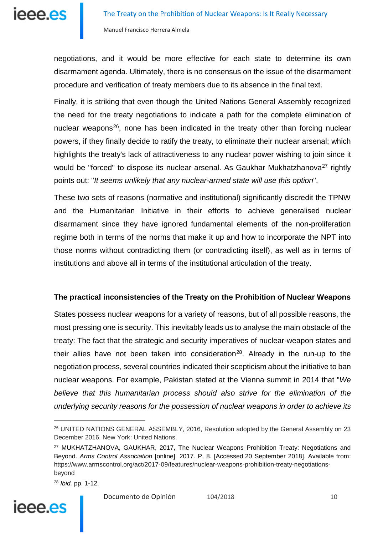

negotiations, and it would be more effective for each state to determine its own disarmament agenda. Ultimately, there is no consensus on the issue of the disarmament procedure and verification of treaty members due to its absence in the final text.

Finally, it is striking that even though the United Nations General Assembly recognized the need for the treaty negotiations to indicate a path for the complete elimination of nuclear weapons<sup>[26](#page-9-0)</sup>, none has been indicated in the treaty other than forcing nuclear powers, if they finally decide to ratify the treaty, to eliminate their nuclear arsenal; which highlights the treaty's lack of attractiveness to any nuclear power wishing to join since it would be "forced" to dispose its nuclear arsenal. As Gaukhar Mukhatzhanova<sup>27</sup> rightly points out: "*It seems unlikely that any nuclear-armed state will use this option*".

These two sets of reasons (normative and institutional) significantly discredit the TPNW and the Humanitarian Initiative in their efforts to achieve generalised nuclear disarmament since they have ignored fundamental elements of the non-proliferation regime both in terms of the norms that make it up and how to incorporate the NPT into those norms without contradicting them (or contradicting itself), as well as in terms of institutions and above all in terms of the institutional articulation of the treaty.

#### **The practical inconsistencies of the Treaty on the Prohibition of Nuclear Weapons**

States possess nuclear weapons for a variety of reasons, but of all possible reasons, the most pressing one is security. This inevitably leads us to analyse the main obstacle of the treaty: The fact that the strategic and security imperatives of nuclear-weapon states and their allies have not been taken into consideration<sup>28</sup>. Already in the run-up to the negotiation process, several countries indicated their scepticism about the initiative to ban nuclear weapons. For example, Pakistan stated at the Vienna summit in 2014 that "*We believe that this humanitarian process should also strive for the elimination of the underlying security reasons for the possession of nuclear weapons in order to achieve its* 

<span id="page-9-2"></span>

<span id="page-9-0"></span><sup>&</sup>lt;sup>26</sup> UNITED NATIONS GENERAL ASSEMBLY, 2016, Resolution adopted by the General Assembly on 23 December 2016. New York: United Nations.

<span id="page-9-1"></span><sup>27</sup> MUKHATZHANOVA, GAUKHAR, 2017, The Nuclear Weapons Prohibition Treaty: Negotiations and Beyond. *Arms Control Association* [online]. 2017. P. 8. [Accessed 20 September 2018]. Available from: [https://www.armscontrol.org/act/2017-09/features/nuclear-weapons-prohibition-treaty-negotiations](https://www.armscontrol.org/act/2017-09/features/nuclear-weapons-prohibition-treaty-negotiations-beyond#_blank)[beyond](https://www.armscontrol.org/act/2017-09/features/nuclear-weapons-prohibition-treaty-negotiations-beyond#_blank)

<sup>28</sup> *Ibid.* pp. 1-12.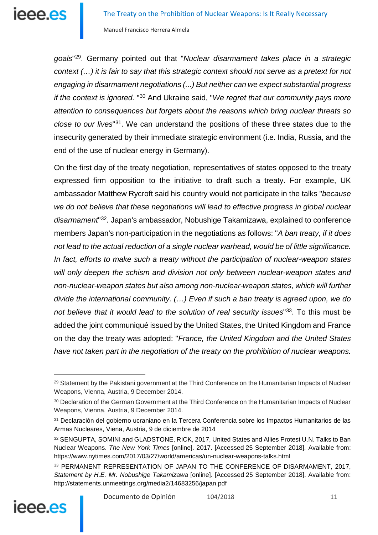*goals*"[29](#page-10-0). Germany pointed out that "*Nuclear disarmament takes place in a strategic context (…) it is fair to say that this strategic context should not serve as a pretext for not engaging in disarmament negotiations (...) But neither can we expect substantial progress if the context is ignored.* "[30](#page-10-1) And Ukraine said, "*We regret that our community pays more attention to consequences but forgets about the reasons which bring nuclear threats so close to our lives*"[31](#page-10-2). We can understand the positions of these three states due to the insecurity generated by their immediate strategic environment (i.e. India, Russia, and the end of the use of nuclear energy in Germany).

On the first day of the treaty negotiation, representatives of states opposed to the treaty expressed firm opposition to the initiative to draft such a treaty. For example, UK ambassador Matthew Rycroft said his country would not participate in the talks "*because we do not believe that these negotiations will lead to effective progress in global nuclear disarmament*"[32](#page-10-3). Japan's ambassador, Nobushige Takamizawa, explained to conference members Japan's non-participation in the negotiations as follows: "*A ban treaty, if it does not lead to the actual reduction of a single nuclear warhead, would be of little significance. In fact, efforts to make such a treaty without the participation of nuclear-weapon states*  will only deepen the schism and division not only between nuclear-weapon states and *non-nuclear-weapon states but also among non-nuclear-weapon states, which will further divide the international community. (…) Even if such a ban treaty is agreed upon, we do not believe that it would lead to the solution of real security issues*"[33.](#page-10-4) To this must be added the joint communiqué issued by the United States, the United Kingdom and France on the day the treaty was adopted: "*France, the United Kingdom and the United States have not taken part in the negotiation of the treaty on the prohibition of nuclear weapons.* 

<span id="page-10-4"></span><span id="page-10-3"></span><span id="page-10-2"></span><sup>33</sup> PERMANENT REPRESENTATION OF JAPAN TO THE CONFERENCE OF DISARMAMENT, 2017, *Statement by H.E. Mr. Nobushige Takamizawa* [online]. [Accessed 25 September 2018]. Available from: http://statements.unmeetings.org/media2/14683256/japan.pdf



<span id="page-10-0"></span><sup>&</sup>lt;sup>29</sup> Statement by the Pakistani government at the Third Conference on the Humanitarian Impacts of Nuclear Weapons, Vienna, Austria, 9 December 2014.

<span id="page-10-1"></span><sup>&</sup>lt;sup>30</sup> Declaration of the German Government at the Third Conference on the Humanitarian Impacts of Nuclear Weapons, Vienna, Austria, 9 December 2014.

<sup>31</sup> Declaración del gobierno ucraniano en la Tercera Conferencia sobre los Impactos Humanitarios de las Armas Nucleares, Viena, Austria, 9 de diciembre de 2014

<sup>32</sup> SENGUPTA, SOMINI and GLADSTONE, RICK, 2017, United States and Allies Protest U.N. Talks to Ban Nuclear Weapons. *The New York Times* [online]. 2017. [Accessed 25 September 2018]. Available from: https://www.nytimes.com/2017/03/27/world/americas/un-nuclear-weapons-talks.html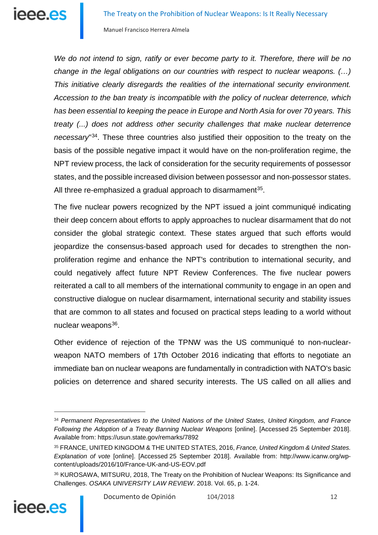*We do not intend to sign, ratify or ever become party to it. Therefore, there will be no change in the legal obligations on our countries with respect to nuclear weapons. (…) This initiative clearly disregards the realities of the international security environment. Accession to the ban treaty is incompatible with the policy of nuclear deterrence, which has been essential to keeping the peace in Europe and North Asia for over 70 years. This treaty (...) does not address other security challenges that make nuclear deterrence necessary*"[34](#page-11-0). These three countries also justified their opposition to the treaty on the basis of the possible negative impact it would have on the non-proliferation regime, the NPT review process, the lack of consideration for the security requirements of possessor states, and the possible increased division between possessor and non-possessor states. All three re-emphasized a gradual approach to disarmament<sup>[35](#page-11-1)</sup>.

The five nuclear powers recognized by the NPT issued a joint communiqué indicating their deep concern about efforts to apply approaches to nuclear disarmament that do not consider the global strategic context. These states argued that such efforts would jeopardize the consensus-based approach used for decades to strengthen the nonproliferation regime and enhance the NPT's contribution to international security, and could negatively affect future NPT Review Conferences. The five nuclear powers reiterated a call to all members of the international community to engage in an open and constructive dialogue on nuclear disarmament, international security and stability issues that are common to all states and focused on practical steps leading to a world without nuclear weapons<sup>[36](#page-11-2)</sup>.

Other evidence of rejection of the TPNW was the US communiqué to non-nuclearweapon NATO members of 17th October 2016 indicating that efforts to negotiate an immediate ban on nuclear weapons are fundamentally in contradiction with NATO's basic policies on deterrence and shared security interests. The US called on all allies and

<span id="page-11-2"></span><sup>36</sup> KUROSAWA, MITSURU, 2018, The Treaty on the Prohibition of Nuclear Weapons: Its Significance and Challenges. *OSAKA UNIVERSITY LAW REVIEW*. 2018. Vol. 65, p. 1-24.



<span id="page-11-0"></span><sup>34</sup> *Permanent Representatives to the United Nations of the United States, United Kingdom, and France Following the Adoption of a Treaty Banning Nuclear Weapons* [online]. [Accessed 25 September 2018]. Available from: https://usun.state.gov/remarks/7892

<span id="page-11-1"></span><sup>35</sup> FRANCE, UNITED KINGDOM & THE UNITED STATES, 2016, *France, United Kingdom & United States. Explanation of vote* [online]. [Accessed 25 September 2018]. Available from: http://www.icanw.org/wpcontent/uploads/2016/10/France-UK-and-US-EOV.pdf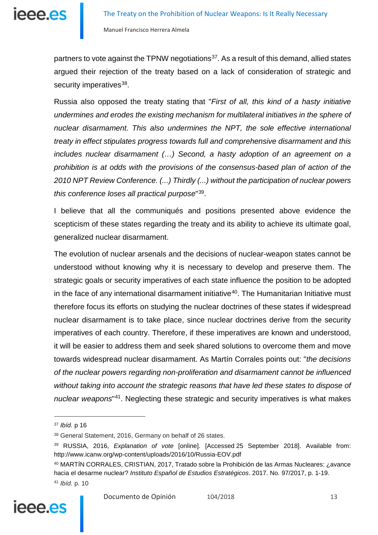partners to vote against the TPNW negotiations<sup>37</sup>. As a result of this demand, allied states argued their rejection of the treaty based on a lack of consideration of strategic and security imperatives<sup>38</sup>.

Russia also opposed the treaty stating that "*First of all, this kind of a hasty initiative undermines and erodes the existing mechanism for multilateral initiatives in the sphere of nuclear disarmament. This also undermines the NPT, the sole effective international treaty in effect stipulates progress towards full and comprehensive disarmament and this includes nuclear disarmament (...)* Second, a hasty adoption of an agreement on a *prohibition is at odds with the provisions of the consensus-based plan of action of the 2010 NPT Review Conference. (...) Thirdly (...) without the participation of nuclear powers this conference loses all practical purpose*"[39.](#page-12-2)

I believe that all the communiqués and positions presented above evidence the scepticism of these states regarding the treaty and its ability to achieve its ultimate goal, generalized nuclear disarmament.

The evolution of nuclear arsenals and the decisions of nuclear-weapon states cannot be understood without knowing why it is necessary to develop and preserve them. The strategic goals or security imperatives of each state influence the position to be adopted in the face of any international disarmament initiative<sup>40</sup>. The Humanitarian Initiative must therefore focus its efforts on studying the nuclear doctrines of these states if widespread nuclear disarmament is to take place, since nuclear doctrines derive from the security imperatives of each country. Therefore, if these imperatives are known and understood, it will be easier to address them and seek shared solutions to overcome them and move towards widespread nuclear disarmament. As Martín Corrales points out: "*the decisions of the nuclear powers regarding non-proliferation and disarmament cannot be influenced without taking into account the strategic reasons that have led these states to dispose of nuclear weapons*"[41](#page-12-4). Neglecting these strategic and security imperatives is what makes

<span id="page-12-4"></span><span id="page-12-3"></span><span id="page-12-2"></span><span id="page-12-1"></span><sup>41</sup> *Ibíd.* p. 10



<span id="page-12-0"></span><sup>37</sup> *Ibíd.* p 16

<sup>38</sup> General Statement, 2016, Germany on behalf of 26 states.

<sup>39</sup> RUSSIA, 2016, *Explanation of vote* [online]. [Accessed 25 September 2018]. Available from: http://www.icanw.org/wp-content/uploads/2016/10/Russia-EOV.pdf

<sup>40</sup> MARTÍN CORRALES, CRISTIAN, 2017, Tratado sobre la Prohibición de las Armas Nucleares: ¿avance hacia el desarme nuclear? *Instituto Español de Estudios Estratégicos*. 2017. No. 97/2017, p. 1-19.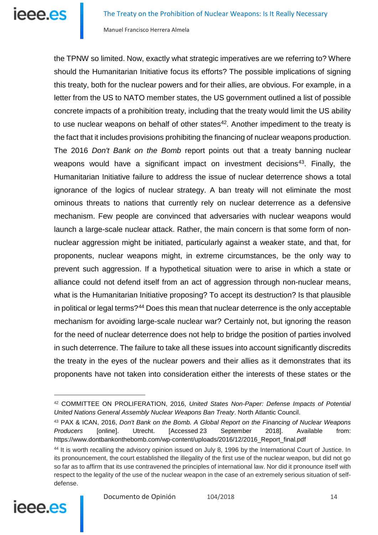**Ieee.es** 

Manuel Francisco Herrera Almela

the TPNW so limited. Now, exactly what strategic imperatives are we referring to? Where should the Humanitarian Initiative focus its efforts? The possible implications of signing this treaty, both for the nuclear powers and for their allies, are obvious. For example, in a letter from the US to NATO member states, the US government outlined a list of possible concrete impacts of a prohibition treaty, including that the treaty would limit the US ability to use nuclear weapons on behalf of other states $42$ . Another impediment to the treaty is the fact that it includes provisions prohibiting the financing of nuclear weapons production. The 2016 *Don't Bank on the Bomb* report points out that a treaty banning nuclear weapons would have a significant impact on investment decisions<sup>[43](#page-13-1)</sup>. Finally, the Humanitarian Initiative failure to address the issue of nuclear deterrence shows a total ignorance of the logics of nuclear strategy. A ban treaty will not eliminate the most ominous threats to nations that currently rely on nuclear deterrence as a defensive mechanism. Few people are convinced that adversaries with nuclear weapons would launch a large-scale nuclear attack. Rather, the main concern is that some form of nonnuclear aggression might be initiated, particularly against a weaker state, and that, for proponents, nuclear weapons might, in extreme circumstances, be the only way to prevent such aggression. If a hypothetical situation were to arise in which a state or alliance could not defend itself from an act of aggression through non-nuclear means, what is the Humanitarian Initiative proposing? To accept its destruction? Is that plausible in political or legal terms? $44$  Does this mean that nuclear deterrence is the only acceptable mechanism for avoiding large-scale nuclear war? Certainly not, but ignoring the reason for the need of nuclear deterrence does not help to bridge the position of parties involved in such deterrence. The failure to take all these issues into account significantly discredits the treaty in the eyes of the nuclear powers and their allies as it demonstrates that its proponents have not taken into consideration either the interests of these states or the

<span id="page-13-2"></span><span id="page-13-1"></span><span id="page-13-0"></span><sup>44</sup> It is worth recalling the advisory opinion issued on July 8, 1996 by the International Court of Justice. In its pronouncement, the court established the illegality of the first use of the nuclear weapon, but did not go so far as to affirm that its use contravened the principles of international law. Nor did it pronounce itself with respect to the legality of the use of the nuclear weapon in the case of an extremely serious situation of selfdefense.



<sup>42</sup> COMMITTEE ON PROLIFERATION, 2016, *United States Non-Paper: Defense Impacts of Potential United Nations General Assembly Nuclear Weapons Ban Treaty*. North Atlantic Council.

<sup>43</sup> PAX & ICAN, 2016, *Don't Bank on the Bomb. A Global Report on the Financing of Nuclear Weapons Producers* [online]. Utrecht. [Accessed 23 September 2018]. Available from: https://www.dontbankonthebomb.com/wp-content/uploads/2016/12/2016\_Report\_final.pdf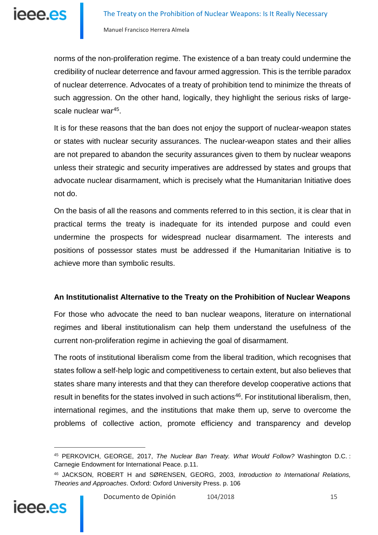norms of the non-proliferation regime. The existence of a ban treaty could undermine the credibility of nuclear deterrence and favour armed aggression. This is the terrible paradox of nuclear deterrence. Advocates of a treaty of prohibition tend to minimize the threats of such aggression. On the other hand, logically, they highlight the serious risks of largescale nuclear war<sup>45</sup>.

It is for these reasons that the ban does not enjoy the support of nuclear-weapon states or states with nuclear security assurances. The nuclear-weapon states and their allies are not prepared to abandon the security assurances given to them by nuclear weapons unless their strategic and security imperatives are addressed by states and groups that advocate nuclear disarmament, which is precisely what the Humanitarian Initiative does not do.

On the basis of all the reasons and comments referred to in this section, it is clear that in practical terms the treaty is inadequate for its intended purpose and could even undermine the prospects for widespread nuclear disarmament. The interests and positions of possessor states must be addressed if the Humanitarian Initiative is to achieve more than symbolic results.

#### **An Institutionalist Alternative to the Treaty on the Prohibition of Nuclear Weapons**

For those who advocate the need to ban nuclear weapons, literature on international regimes and liberal institutionalism can help them understand the usefulness of the current non-proliferation regime in achieving the goal of disarmament.

The roots of institutional liberalism come from the liberal tradition, which recognises that states follow a self-help logic and competitiveness to certain extent, but also believes that states share many interests and that they can therefore develop cooperative actions that result in benefits for the states involved in such actions<sup>46</sup>. For institutional liberalism, then, international regimes, and the institutions that make them up, serve to overcome the problems of collective action, promote efficiency and transparency and develop

<span id="page-14-1"></span><span id="page-14-0"></span>

<sup>45</sup> PERKOVICH, GEORGE, 2017, *The Nuclear Ban Treaty. What Would Follow?* Washington D.C. : Carnegie Endowment for International Peace. p.11.

<sup>46</sup> JACKSON, ROBERT H and SØRENSEN, GEORG, 2003, *Introduction to International Relations, Theories and Approaches*. Oxford: Oxford University Press. p. 106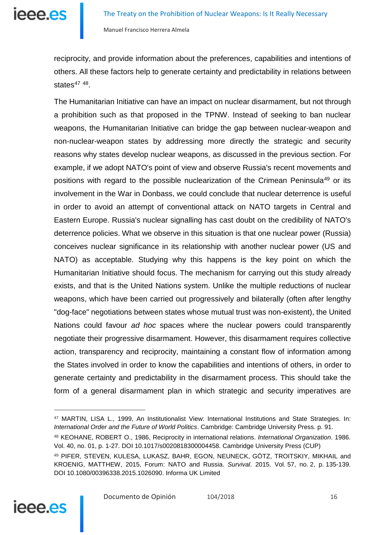ieee.es

Manuel Francisco Herrera Almela

reciprocity, and provide information about the preferences, capabilities and intentions of others. All these factors help to generate certainty and predictability in relations between states $47$   $48$ .

The Humanitarian Initiative can have an impact on nuclear disarmament, but not through a prohibition such as that proposed in the TPNW. Instead of seeking to ban nuclear weapons, the Humanitarian Initiative can bridge the gap between nuclear-weapon and non-nuclear-weapon states by addressing more directly the strategic and security reasons why states develop nuclear weapons, as discussed in the previous section. For example, if we adopt NATO's point of view and observe Russia's recent movements and positions with regard to the possible nuclearization of the Crimean Peninsula<sup>[49](#page-15-2)</sup> or its involvement in the War in Donbass, we could conclude that nuclear deterrence is useful in order to avoid an attempt of conventional attack on NATO targets in Central and Eastern Europe. Russia's nuclear signalling has cast doubt on the credibility of NATO's deterrence policies. What we observe in this situation is that one nuclear power (Russia) conceives nuclear significance in its relationship with another nuclear power (US and NATO) as acceptable. Studying why this happens is the key point on which the Humanitarian Initiative should focus. The mechanism for carrying out this study already exists, and that is the United Nations system. Unlike the multiple reductions of nuclear weapons, which have been carried out progressively and bilaterally (often after lengthy "dog-face" negotiations between states whose mutual trust was non-existent), the United Nations could favour *ad hoc* spaces where the nuclear powers could transparently negotiate their progressive disarmament. However, this disarmament requires collective action, transparency and reciprocity, maintaining a constant flow of information among the States involved in order to know the capabilities and intentions of others, in order to generate certainty and predictability in the disarmament process. This should take the form of a general disarmament plan in which strategic and security imperatives are

<span id="page-15-2"></span><span id="page-15-1"></span><span id="page-15-0"></span><sup>49</sup> PIFER, STEVEN, KULESA, LUKASZ, BAHR, EGON, NEUNECK, GÖTZ, TROITSKIY, MIKHAIL and KROENIG, MATTHEW, 2015, Forum: NATO and Russia. *Survival*. 2015. Vol. 57, no. 2, p. 135-139. DOI 10.1080/00396338.2015.1026090. Informa UK Limited



<sup>47</sup> MARTIN, LISA L., 1999, An Institutionalist View: International Institutions and State Strategies. In: *International Order and the Future of World Politics*. Cambridge: Cambridge University Press. p. 91.

<sup>48</sup> KEOHANE, ROBERT O., 1986, Reciprocity in international relations. *International Organization*. 1986. Vol. 40, no. 01, p. 1-27. DOI 10.1017/s0020818300004458. Cambridge University Press (CUP)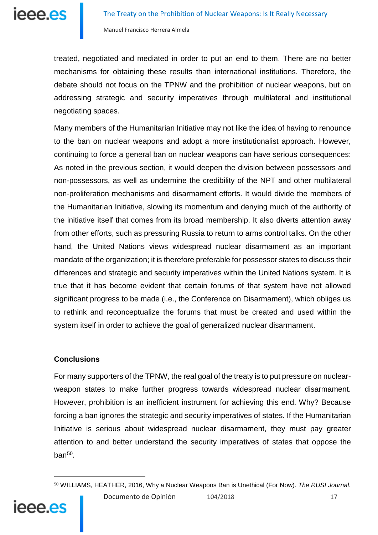treated, negotiated and mediated in order to put an end to them. There are no better mechanisms for obtaining these results than international institutions. Therefore, the debate should not focus on the TPNW and the prohibition of nuclear weapons, but on addressing strategic and security imperatives through multilateral and institutional negotiating spaces.

Many members of the Humanitarian Initiative may not like the idea of having to renounce to the ban on nuclear weapons and adopt a more institutionalist approach. However, continuing to force a general ban on nuclear weapons can have serious consequences: As noted in the previous section, it would deepen the division between possessors and non-possessors, as well as undermine the credibility of the NPT and other multilateral non-proliferation mechanisms and disarmament efforts. It would divide the members of the Humanitarian Initiative, slowing its momentum and denying much of the authority of the initiative itself that comes from its broad membership. It also diverts attention away from other efforts, such as pressuring Russia to return to arms control talks. On the other hand, the United Nations views widespread nuclear disarmament as an important mandate of the organization; it is therefore preferable for possessor states to discuss their differences and strategic and security imperatives within the United Nations system. It is true that it has become evident that certain forums of that system have not allowed significant progress to be made (i.e., the Conference on Disarmament), which obliges us to rethink and reconceptualize the forums that must be created and used within the system itself in order to achieve the goal of generalized nuclear disarmament.

#### **Conclusions**

<u>.</u>

<span id="page-16-0"></span>ieee.es

For many supporters of the TPNW, the real goal of the treaty is to put pressure on nuclearweapon states to make further progress towards widespread nuclear disarmament. However, prohibition is an inefficient instrument for achieving this end. Why? Because forcing a ban ignores the strategic and security imperatives of states. If the Humanitarian Initiative is serious about widespread nuclear disarmament, they must pay greater attention to and better understand the security imperatives of states that oppose the ban $50$ .

<sup>50</sup> WILLIAMS, HEATHER, 2016, Why a Nuclear Weapons Ban is Unethical (For Now). *The RUSI Journal*.